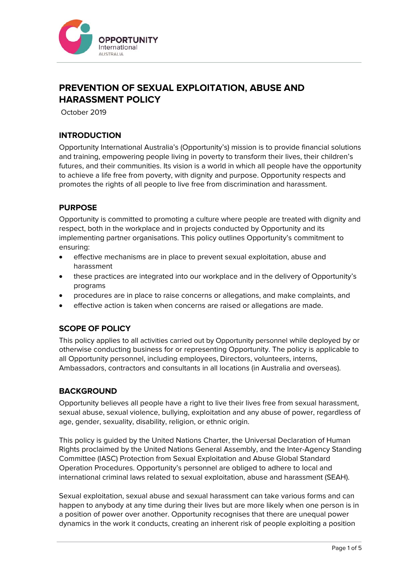

# **PREVENTION OF SEXUAL EXPLOITATION, ABUSE AND HARASSMENT POLICY**

October 2019

# **INTRODUCTION**

Opportunity International Australia's (Opportunity's) mission is to provide financial solutions and training, empowering people living in poverty to transform their lives, their children's futures, and their communities. Its vision is a world in which all people have the opportunity to achieve a life free from poverty, with dignity and purpose. Opportunity respects and promotes the rights of all people to live free from discrimination and harassment.

## **PURPOSE**

Opportunity is committed to promoting a culture where people are treated with dignity and respect, both in the workplace and in projects conducted by Opportunity and its implementing partner organisations. This policy outlines Opportunity's commitment to ensuring:

- effective mechanisms are in place to prevent sexual exploitation, abuse and harassment
- these practices are integrated into our workplace and in the delivery of Opportunity's programs
- procedures are in place to raise concerns or allegations, and make complaints, and
- effective action is taken when concerns are raised or allegations are made.

# **SCOPE OF POLICY**

This policy applies to all activities carried out by Opportunity personnel while deployed by or otherwise conducting business for or representing Opportunity. The policy is applicable to all Opportunity personnel, including employees, Directors, volunteers, interns, Ambassadors, contractors and consultants in all locations (in Australia and overseas).

## **BACKGROUND**

Opportunity believes all people have a right to live their lives free from sexual harassment, sexual abuse, sexual violence, bullying, exploitation and any abuse of power, regardless of age, gender, sexuality, disability, religion, or ethnic origin.

This policy is guided by the United Nations Charter, the Universal Declaration of Human Rights proclaimed by the United Nations General Assembly, and the Inter-Agency Standing Committee (IASC) Protection from Sexual Exploitation and Abuse Global Standard Operation Procedures. Opportunity's personnel are obliged to adhere to local and international criminal laws related to sexual exploitation, abuse and harassment (SEAH).

Sexual exploitation, sexual abuse and sexual harassment can take various forms and can happen to anybody at any time during their lives but are more likely when one person is in a position of power over another. Opportunity recognises that there are unequal power dynamics in the work it conducts, creating an inherent risk of people exploiting a position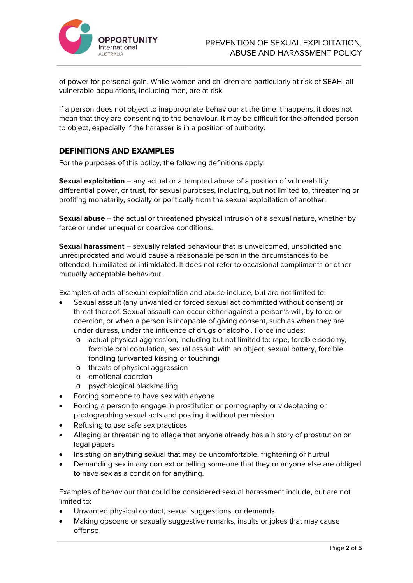

of power for personal gain. While women and children are particularly at risk of SEAH, all vulnerable populations, including men, are at risk.

If a person does not object to inappropriate behaviour at the time it happens, it does not mean that they are consenting to the behaviour. It may be difficult for the offended person to object, especially if the harasser is in a position of authority.

## **DEFINITIONS AND EXAMPLES**

For the purposes of this policy, the following definitions apply:

**Sexual exploitation** – any actual or attempted abuse of a position of vulnerability, differential power, or trust, for sexual purposes, including, but not limited to, threatening or profiting monetarily, socially or politically from the sexual exploitation of another.

**Sexual abuse** – the actual or threatened physical intrusion of a sexual nature, whether by force or under unequal or coercive conditions.

**Sexual harassment** – sexually related behaviour that is unwelcomed, unsolicited and unreciprocated and would cause a reasonable person in the circumstances to be offended, humiliated or intimidated. It does not refer to occasional compliments or other mutually acceptable behaviour.

Examples of acts of sexual exploitation and abuse include, but are not limited to:

- Sexual assault (any unwanted or forced sexual act committed without consent) or threat thereof. Sexual assault can occur either against a person's will, by force or coercion, or when a person is incapable of giving consent, such as when they are under duress, under the influence of drugs or alcohol. Force includes:
	- o actual physical aggression, including but not limited to: rape, forcible sodomy, forcible oral copulation, sexual assault with an object, sexual battery, forcible fondling (unwanted kissing or touching)
	- o threats of physical aggression
	- o emotional coercion
	- o psychological blackmailing
- Forcing someone to have sex with anyone
- Forcing a person to engage in prostitution or pornography or videotaping or photographing sexual acts and posting it without permission
- Refusing to use safe sex practices
- Alleging or threatening to allege that anyone already has a history of prostitution on legal papers
- Insisting on anything sexual that may be uncomfortable, frightening or hurtful
- Demanding sex in any context or telling someone that they or anyone else are obliged to have sex as a condition for anything.

Examples of behaviour that could be considered sexual harassment include, but are not limited to:

- Unwanted physical contact, sexual suggestions, or demands
- Making obscene or sexually suggestive remarks, insults or jokes that may cause offense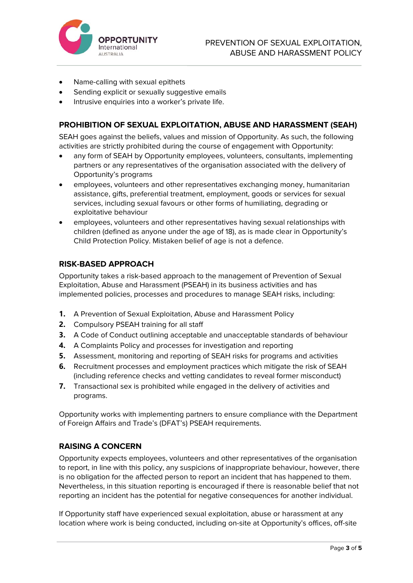

- Name-calling with sexual epithets
- Sending explicit or sexually suggestive emails
- Intrusive enquiries into a worker's private life.

## **PROHIBITION OF SEXUAL EXPLOITATION, ABUSE AND HARASSMENT (SEAH)**

SEAH goes against the beliefs, values and mission of Opportunity. As such, the following activities are strictly prohibited during the course of engagement with Opportunity:

- any form of SEAH by Opportunity employees, volunteers, consultants, implementing partners or any representatives of the organisation associated with the delivery of Opportunity's programs
- employees, volunteers and other representatives exchanging money, humanitarian assistance, gifts, preferential treatment, employment, goods or services for sexual services, including sexual favours or other forms of humiliating, degrading or exploitative behaviour
- employees, volunteers and other representatives having sexual relationships with children (defined as anyone under the age of 18), as is made clear in Opportunity's Child Protection Policy. Mistaken belief of age is not a defence.

## **RISK-BASED APPROACH**

Opportunity takes a risk-based approach to the management of Prevention of Sexual Exploitation, Abuse and Harassment (PSEAH) in its business activities and has implemented policies, processes and procedures to manage SEAH risks, including:

- **1.** A Prevention of Sexual Exploitation, Abuse and Harassment Policy
- **2.** Compulsory PSEAH training for all staff
- **3.** A Code of Conduct outlining acceptable and unacceptable standards of behaviour
- **4.** A Complaints Policy and processes for investigation and reporting
- **5.** Assessment, monitoring and reporting of SEAH risks for programs and activities
- **6.** Recruitment processes and employment practices which mitigate the risk of SEAH (including reference checks and vetting candidates to reveal former misconduct)
- **7.** Transactional sex is prohibited while engaged in the delivery of activities and programs.

Opportunity works with implementing partners to ensure compliance with the Department of Foreign Affairs and Trade's (DFAT's) PSEAH requirements.

## **RAISING A CONCERN**

Opportunity expects employees, volunteers and other representatives of the organisation to report, in line with this policy, any suspicions of inappropriate behaviour, however, there is no obligation for the affected person to report an incident that has happened to them. Nevertheless, in this situation reporting is encouraged if there is reasonable belief that not reporting an incident has the potential for negative consequences for another individual.

If Opportunity staff have experienced sexual exploitation, abuse or harassment at any location where work is being conducted, including on-site at Opportunity's offices, off-site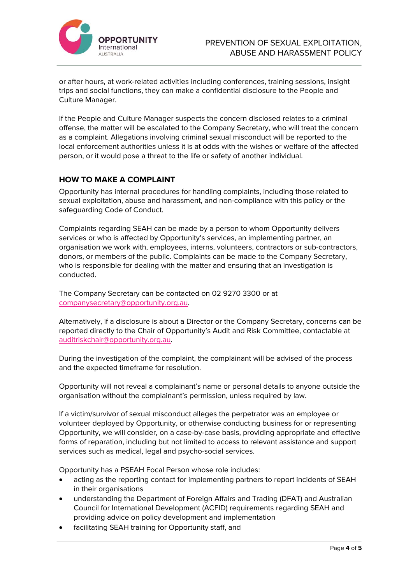

or after hours, at work-related activities including conferences, training sessions, insight trips and social functions, they can make a confidential disclosure to the People and Culture Manager.

If the People and Culture Manager suspects the concern disclosed relates to a criminal offense, the matter will be escalated to the Company Secretary, who will treat the concern as a complaint. Allegations involving criminal sexual misconduct will be reported to the local enforcement authorities unless it is at odds with the wishes or welfare of the affected person, or it would pose a threat to the life or safety of another individual.

# **HOW TO MAKE A COMPLAINT**

Opportunity has internal procedures for handling complaints, including those related to sexual exploitation, abuse and harassment, and non-compliance with this policy or the safeguarding Code of Conduct.

Complaints regarding SEAH can be made by a person to whom Opportunity delivers services or who is affected by Opportunity's services, an implementing partner, an organisation we work with, employees, interns, volunteers, contractors or sub-contractors, donors, or members of the public. Complaints can be made to the Company Secretary, who is responsible for dealing with the matter and ensuring that an investigation is conducted.

The Company Secretary can be contacted on 02 9270 3300 or at companysecretary@opportunity.org.au.

Alternatively, if a disclosure is about a Director or the Company Secretary, concerns can be reported directly to the Chair of Opportunity's Audit and Risk Committee, contactable at auditriskchair@opportunity.org.au.

During the investigation of the complaint, the complainant will be advised of the process and the expected timeframe for resolution.

Opportunity will not reveal a complainant's name or personal details to anyone outside the organisation without the complainant's permission, unless required by law.

If a victim/survivor of sexual misconduct alleges the perpetrator was an employee or volunteer deployed by Opportunity, or otherwise conducting business for or representing Opportunity, we will consider, on a case-by-case basis, providing appropriate and effective forms of reparation, including but not limited to access to relevant assistance and support services such as medical, legal and psycho-social services.

Opportunity has a PSEAH Focal Person whose role includes:

- acting as the reporting contact for implementing partners to report incidents of SEAH in their organisations
- understanding the Department of Foreign Affairs and Trading (DFAT) and Australian Council for International Development (ACFID) requirements regarding SEAH and providing advice on policy development and implementation
- facilitating SEAH training for Opportunity staff, and